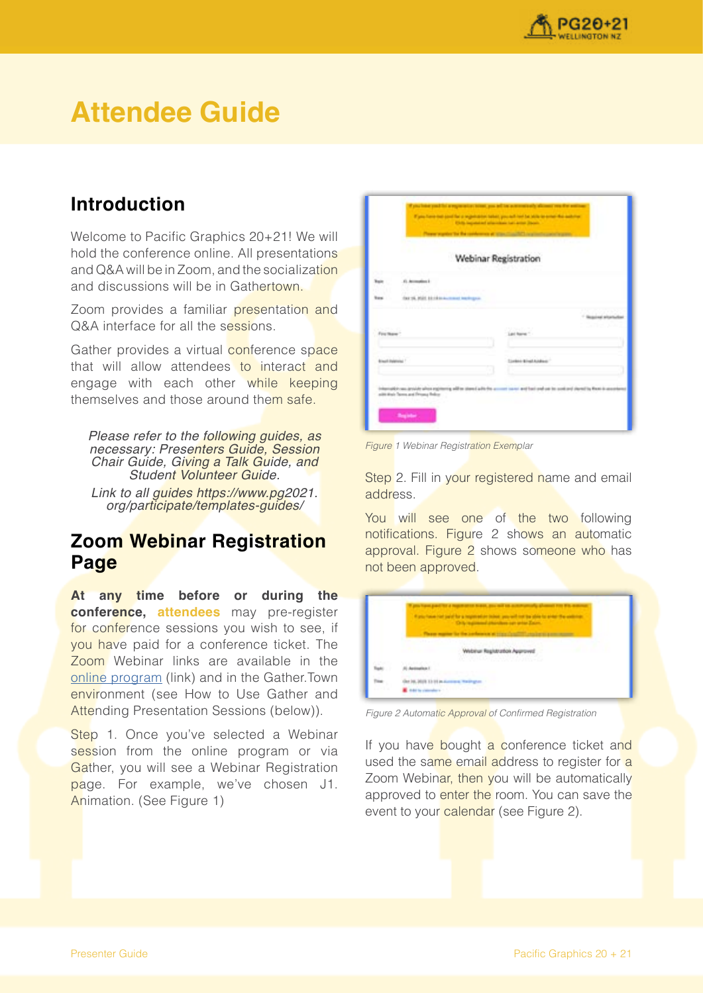

# **Attendee Guide**

# **Introduction**

Welcome to Pacific Graphics 20+21! We will hold the conference online. All presentations and Q&A will be in Zoom, and the socialization and discussions will be in Gathertown.

Zoom provides a familiar presentation and Q&A interface for all the sessions.

Gather provides a virtual conference space that will allow attendees to interact and engage with each other while keeping themselves and those around them safe.

Please refer to the following quides, as necessary: Presenters Guide, Session Chair Guide, Giving a Talk Guide, and Student Volunteer Guide.

Link to all guides https://www.pg2021. org/participate/templates-guides/

## **Zoom Webinar Registration Page**

**At any time before or during the conference, attendees** may pre-register for conference sessions you wish to see, if you have paid for a conference ticket. The Zoom Webinar links are available in the [online program](https://www.pg2021.org/programme/overview/) (link) and in the Gather.Town environment (see How to Use Gather and Attending Presentation Sessions (below)).

Step 1. Once you've selected a Webinar session from the online program or via Gather, you will see a Webinar Registration page. For example, we've chosen J1. Animation. (See Figure 1)

| <b>Walter</b>                                                                                       | <b>Company</b>                                                    |
|-----------------------------------------------------------------------------------------------------|-------------------------------------------------------------------|
|                                                                                                     | <b>Webinar Registration</b>                                       |
| E. Accounting 2                                                                                     |                                                                   |
| Out 16, MSIL Edith Annument Inchinese<br><b>Bank</b>                                                |                                                                   |
|                                                                                                     | <b><i><u><u><b>Registration</b></u></u></i></b>                   |
| For New 1                                                                                           | Let have "                                                        |
| <b>Brauch Instancial 1</b>                                                                          | <b>Livins Bratkiskup</b>                                          |
| able can around a loss expressing with an identifiable for a<br>with their Terms and Prisona Robert | not won't best used use the sused and shared by these is as<br>-- |
| <b>Beginner</b>                                                                                     |                                                                   |

**Figure 1 Webinar Registration Exemplar** 

Step 2. Fill in your registered name and email address.

You will see one of the two following notifications. Figure 2 shows an automatic approval. Figure 2 shows someone who has not been approved.



Figure 2 Automatic Approval of Confirmed Registration

If you have bought a conference ticket and used the same email address to register for a Zoom Webinar, then you will be automatically approved to enter the room. You can save the event to your calendar (see Figure 2).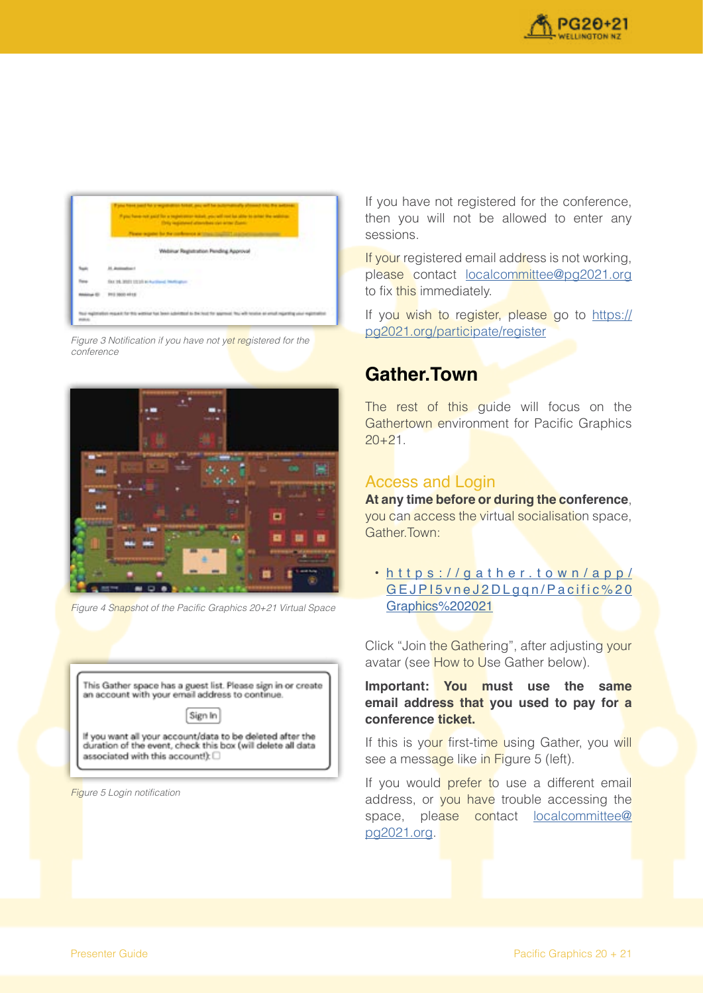



Figure 3 Notification if you have not yet registered for the conference



Figure 4 Snapshot of the Pacific Graphics 20+21 Virtual Space



**Figure 5 Login notification** 

If you have not registered for the conference, then you will not be allowed to enter any sessions.

If your registered email address is not working. please contact [localcommittee@pg2021.org](mailto:localcommittee@pg2021.org) to fix this immediately.

If you wish to register, please go to [https://](https://pg2021.org/participate/register) [pg2021.org/participate/register](https://pg2021.org/participate/register)

## **Gather.Town**

The rest of this quide will focus on the Gathertown environment for Pacific Graphics  $20+21$ .

#### Access and Login

**At any time before or during the conference**, you can access the virtual socialisation space, Gather.Town:

• [https://gather.town/app/](https://gather.town/app/GEJPI5vneJ2DLgqn/Pacific%20Graphics%202021) [GEJPI5vneJ2DLgqn/Pacific%20](https://gather.town/app/GEJPI5vneJ2DLgqn/Pacific%20Graphics%202021) [Graphics%202021](https://gather.town/app/GEJPI5vneJ2DLgqn/Pacific%20Graphics%202021)

Click "Join the Gathering", after adjusting your avatar (see How to Use Gather below).

**Important: You must use the same email address that you used to pay for a conference ticket.**

If this is your first-time using Gather, you will see a message like in Figure 5 (left).

If you would prefer to use a different email address, or you have trouble accessing the space, please contact [localcommittee@](mailto:localcommittee@pg2021.org) [pg2021.org.](mailto:localcommittee@pg2021.org)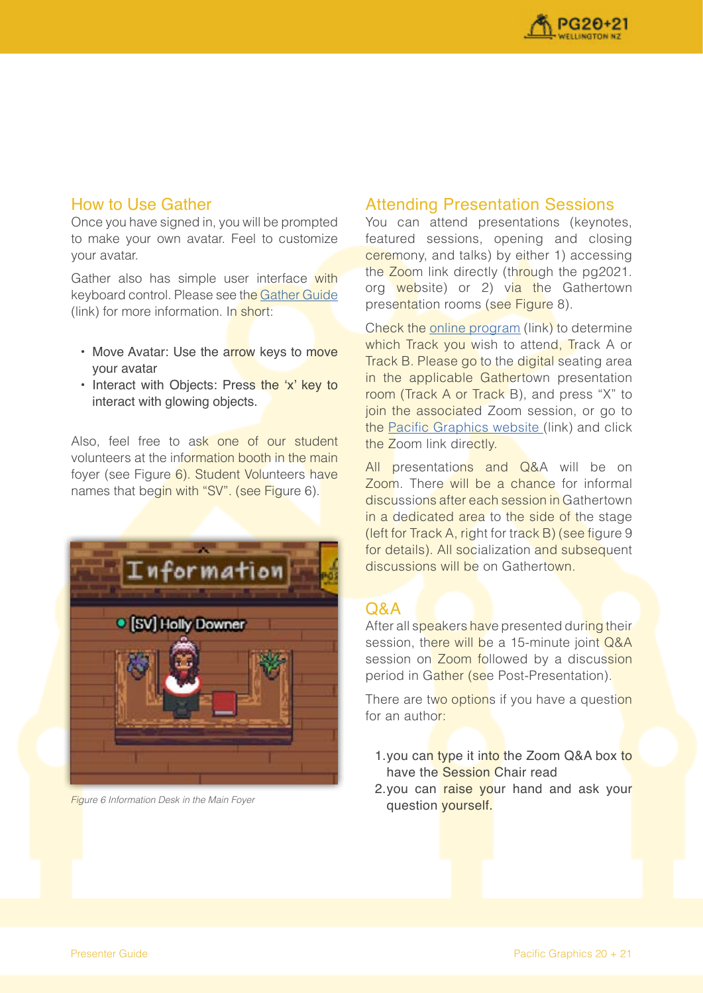

#### How to Use Gather

Once you have signed in, you will be prompted to make your own avatar. Feel to customize your avatar.

Gather also has simple user interface with keyboard control. Please see the [Gather Guide](https://support.gather.town/help/movement-and-basics) (link) for more information. In short:

- Move Avatar: Use the arrow keys to move your avatar
- Interact with Objects: Press the 'x' key to interact with glowing objects.

Also, feel free to ask one of our student volunteers at the information booth in the main foyer (see Figure 6). Student Volunteers have names that begin with "SV". (see Figure 6).



**Figure 6 Information Desk in the Main Foyer** 

## Attending Presentation Sessions

You can attend presentations (keynotes, featured sessions, opening and closing ceremony, and talks) by either 1) accessing the Zoom link directly (through the pg2021. org website) or 2) via the Gathertown presentation rooms (see Figure 8).

Check the [online program](https://www.pg2021.org/programme/overview/) (link) to determine which Track you wish to attend. Track A or Track B. Please go to the digital seating area in the applicable Gathertown presentation room (Track A or Track B), and press "X" to join the associated Zoom session, or go to the [Pacific Graphics website](https://www.pg2021.org/programme/overview/) (link) and click the Zoom link directly.

All presentations and Q&A will be on Zoom. There will be a chance for informal discussions after each session in Gathertown in a dedicated area to the side of the stage (left for Track A, right for track B) (see figure 9 for details). All socialization and subsequent discussions will be on Gathertown.

#### $O&A$

After all speakers have presented during their session, there will be a 15-minute joint Q&A session on Zoom followed by a discussion period in Gather (see Post-Presentation).

There are two options if you have a question for an author:

- 1.you can type it into the Zoom Q&A box to have the Session Chair read
- 2.you can raise your hand and ask your question yourself.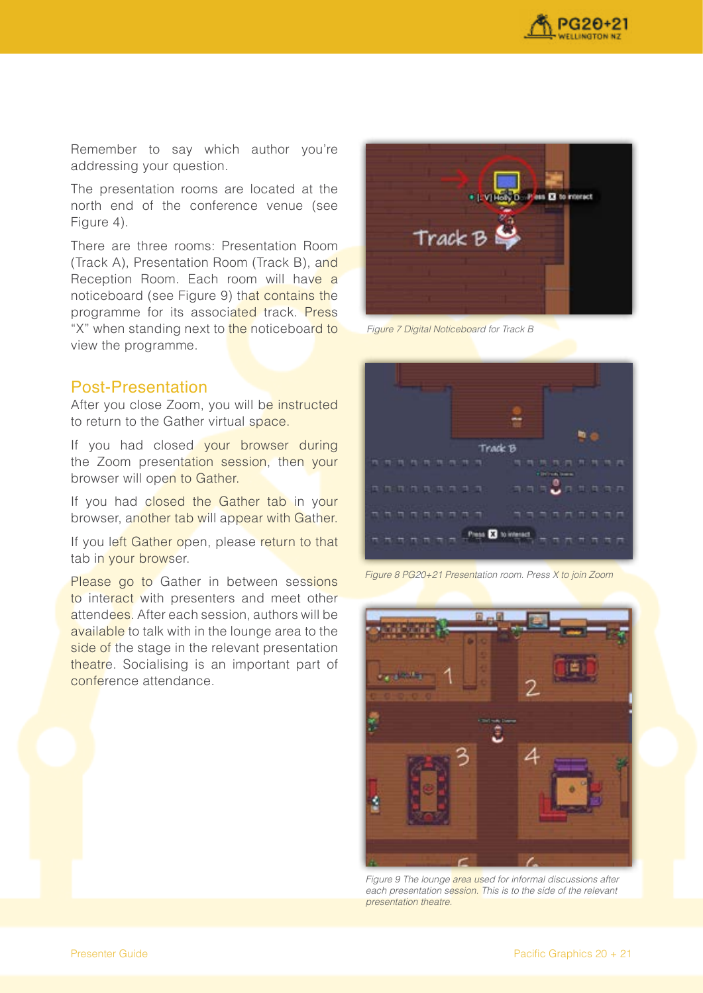

Remember to say which author you're addressing your question.

The presentation rooms are located at the north end of the conference venue (see Figure 4).

There are three rooms: Presentation Room (Track A), Presentation Room (Track B), and Reception Room. Each room will have a noticeboard (see Figure 9) that contains the programme for its associated track. Press "X" when standing next to the noticeboard to view the programme.



Figure 7 Digital Noticeboard for Track B

#### Post-Presentation

After you close Zoom, you will be instructed to return to the Gather virtual space.

If you had closed your browser during the Zoom presentation session, then your browser will open to Gather.

If you had closed the Gather tab in your browser, another tab will appear with Gather.

If you left Gather open, please return to that tab in your browser.

Please go to Gather in between sessions to interact with presenters and meet other attendees. After each session, authors will be available to talk with in the lounge area to the side of the stage in the relevant presentation theatre. Socialising is an important part of conference attendance.



Figure 8 PG20+21 Presentation room. Press X to join Zoom



Figure 9 The lounge area used for informal discussions after each presentation session. This is to the side of the relevant presentation theatre.